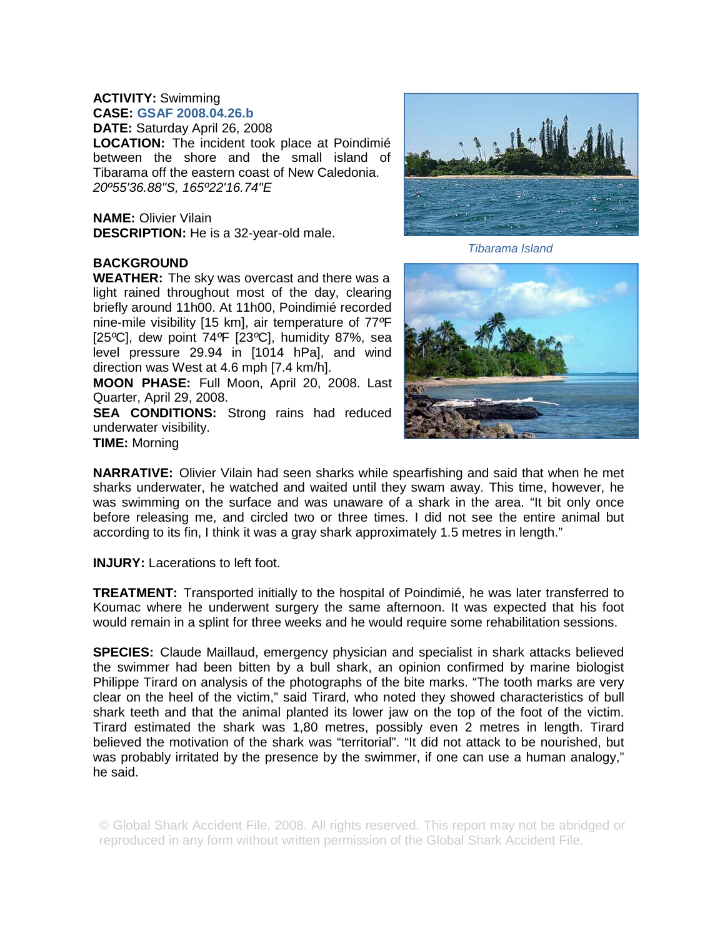## **ACTIVITY:** Swimming

**CASE: GSAF 2008.04.26.b DATE:** Saturday April 26, 2008 **LOCATION:** The incident took place at Poindimié between the shore and the small island of Tibarama off the eastern coast of New Caledonia. *20º55'36.88"S, 165º22'16.74"E*

**NAME:** Olivier Vilain **DESCRIPTION:** He is a 32-year-old male.

## **BACKGROUND**

**WEATHER:** The sky was overcast and there was a light rained throughout most of the day, clearing briefly around 11h00. At 11h00, Poindimié recorded nine-mile visibility [15 km], air temperature of 77*º*F [25*º*C], dew point 74*º*F [23*º*C], humidity 87%, sea level pressure 29.94 in [1014 hPa], and wind direction was West at 4.6 mph [7.4 km/h].

**MOON PHASE:** Full Moon, April 20, 2008. Last Quarter, April 29, 2008.

**SEA CONDITIONS:** Strong rains had reduced underwater visibility. **TIME:** Morning



*Tibarama Island*



**NARRATIVE:** Olivier Vilain had seen sharks while spearfishing and said that when he met sharks underwater, he watched and waited until they swam away. This time, however, he was swimming on the surface and was unaware of a shark in the area. "It bit only once before releasing me, and circled two or three times. I did not see the entire animal but according to its fin, I think it was a gray shark approximately 1.5 metres in length."

**INJURY:** Lacerations to left foot.

**TREATMENT:** Transported initially to the hospital of Poindimié, he was later transferred to Koumac where he underwent surgery the same afternoon. It was expected that his foot would remain in a splint for three weeks and he would require some rehabilitation sessions.

**SPECIES:** Claude Maillaud, emergency physician and specialist in shark attacks believed the swimmer had been bitten by a bull shark, an opinion confirmed by marine biologist Philippe Tirard on analysis of the photographs of the bite marks. "The tooth marks are very clear on the heel of the victim," said Tirard, who noted they showed characteristics of bull shark teeth and that the animal planted its lower jaw on the top of the foot of the victim. Tirard estimated the shark was 1,80 metres, possibly even 2 metres in length. Tirard believed the motivation of the shark was "territorial". "It did not attack to be nourished, but was probably irritated by the presence by the swimmer, if one can use a human analogy," he said.

© Global Shark Accident File, 2008. All rights reserved. This report may not be abridged or reproduced in any form without written permission of the Global Shark Accident File.